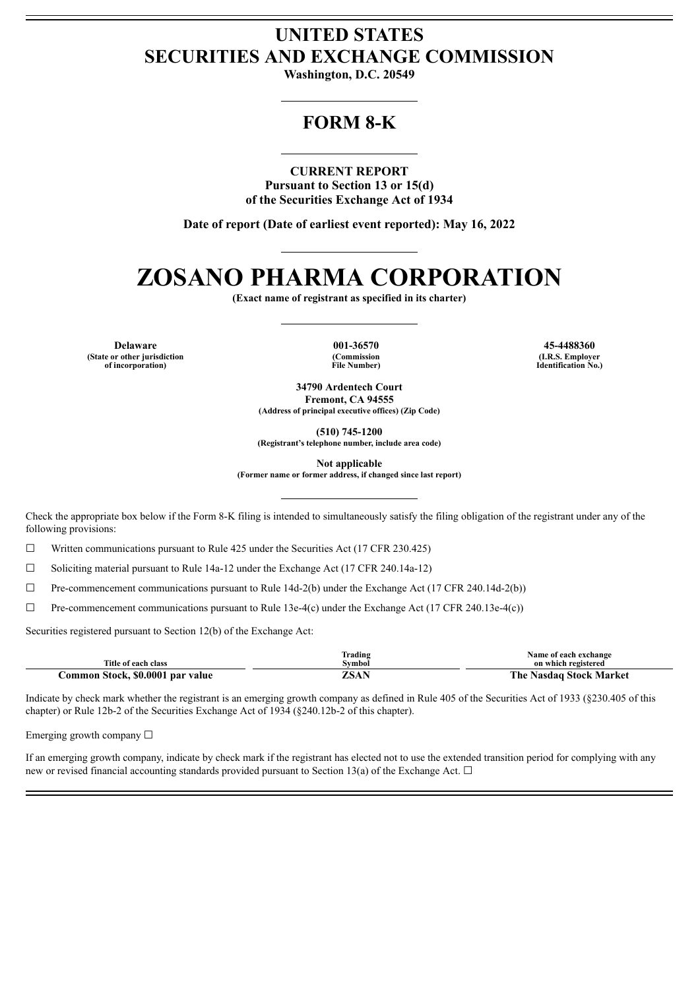## **UNITED STATES SECURITIES AND EXCHANGE COMMISSION**

**Washington, D.C. 20549**

## **FORM 8-K**

### **CURRENT REPORT**

**Pursuant to Section 13 or 15(d) of the Securities Exchange Act of 1934**

**Date of report (Date of earliest event reported): May 16, 2022**

# **ZOSANO PHARMA CORPORATION**

**(Exact name of registrant as specified in its charter)**

**Delaware 001-36570 45-4488360 (State or other jurisdiction of incorporation)**

**(Commission File Number)**

**(I.R.S. Employer Identification No.)**

**34790 Ardentech Court Fremont, CA 94555 (Address of principal executive offices) (Zip Code)**

**(510) 745-1200**

**(Registrant's telephone number, include area code)**

**Not applicable**

**(Former name or former address, if changed since last report)**

Check the appropriate box below if the Form 8-K filing is intended to simultaneously satisfy the filing obligation of the registrant under any of the following provisions:

☐ Written communications pursuant to Rule 425 under the Securities Act (17 CFR 230.425)

☐ Soliciting material pursuant to Rule 14a-12 under the Exchange Act (17 CFR 240.14a-12)

☐ Pre-commencement communications pursuant to Rule 14d-2(b) under the Exchange Act (17 CFR 240.14d-2(b))

☐ Pre-commencement communications pursuant to Rule 13e-4(c) under the Exchange Act (17 CFR 240.13e-4(c))

Securities registered pursuant to Section 12(b) of the Exchange Act:

| Title of each class              | Frading<br>Svmbol | Name of each exchange<br>on which registered |
|----------------------------------|-------------------|----------------------------------------------|
| Common Stock, \$0.0001 par value | ZSAN              | The Nasdag Stock Market                      |

Indicate by check mark whether the registrant is an emerging growth company as defined in Rule 405 of the Securities Act of 1933 (§230.405 of this chapter) or Rule 12b-2 of the Securities Exchange Act of 1934 (§240.12b-2 of this chapter).

Emerging growth company  $\Box$ 

If an emerging growth company, indicate by check mark if the registrant has elected not to use the extended transition period for complying with any new or revised financial accounting standards provided pursuant to Section 13(a) of the Exchange Act.  $\Box$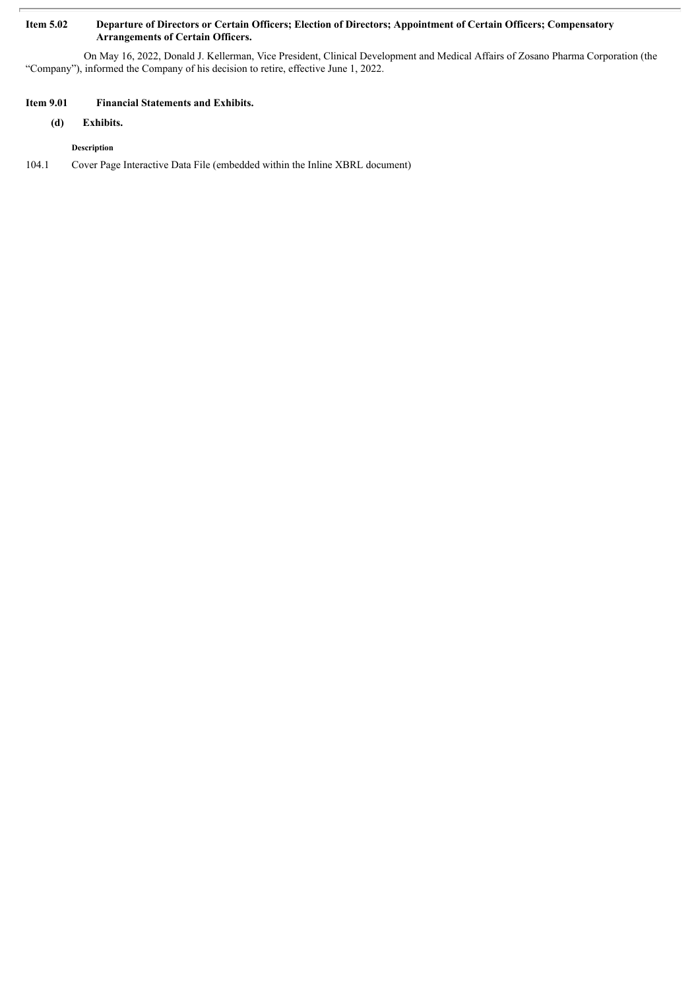### Item 5.02 Departure of Directors or Certain Officers; Election of Directors; Appointment of Certain Officers; Compensatory **Arrangements of Certain Officers.**

On May 16, 2022, Donald J. Kellerman, Vice President, Clinical Development and Medical Affairs of Zosano Pharma Corporation (the "Company"), informed the Company of his decision to retire, effective June 1, 2022.

### **Item 9.01 Financial Statements and Exhibits.**

**(d) Exhibits.**

**Description**

104.1 Cover Page Interactive Data File (embedded within the Inline XBRL document)